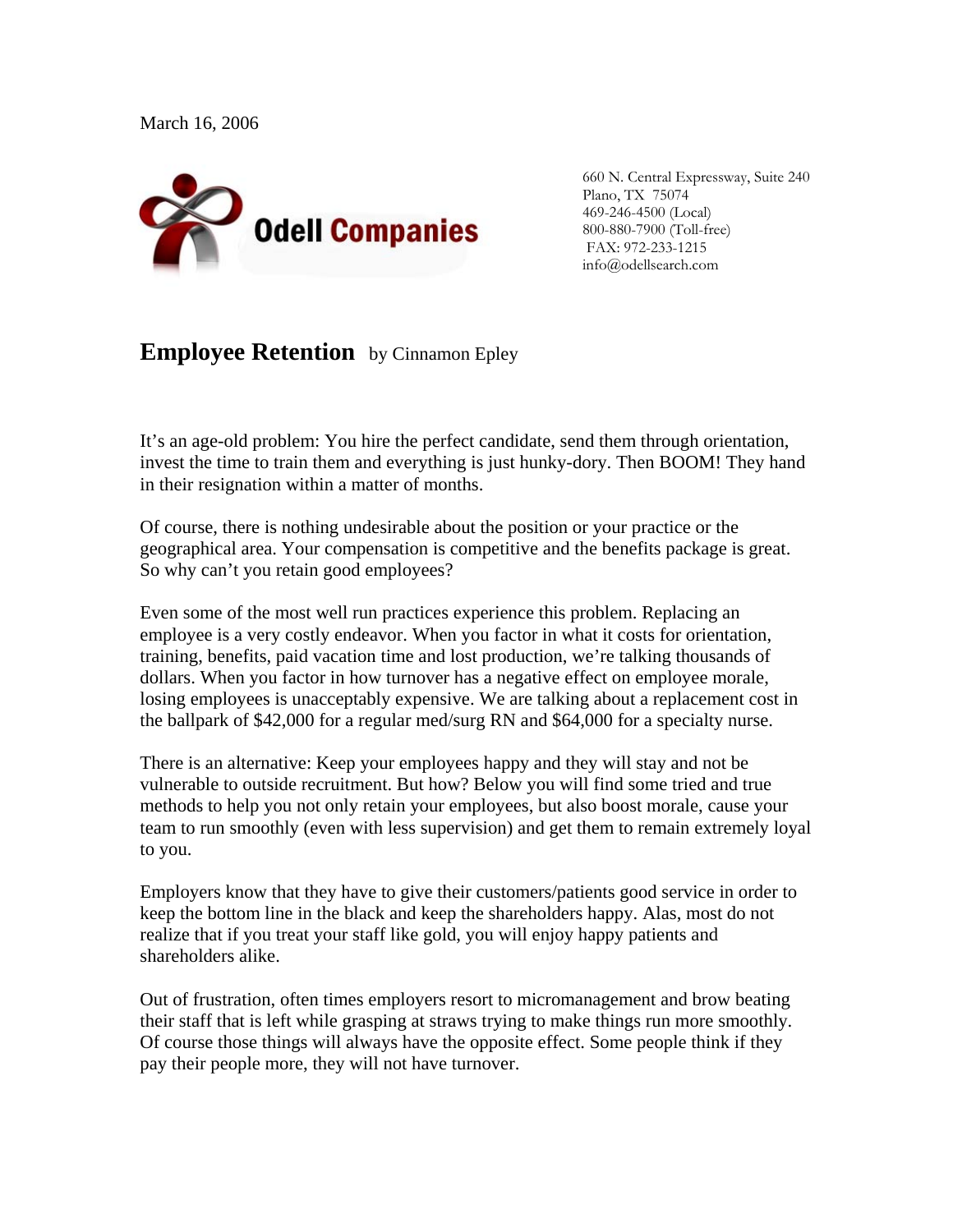March 16, 2006



660 N. Central Expressway, Suite 240 Plano, TX 75074 469-246-4500 (Local) 800-880-7900 (Toll-free) FAX: 972-233-1215 info@odellsearch.com

## **Employee Retention** by Cinnamon Epley

It's an age-old problem: You hire the perfect candidate, send them through orientation, invest the time to train them and everything is just hunky-dory. Then BOOM! They hand in their resignation within a matter of months.

Of course, there is nothing undesirable about the position or your practice or the geographical area. Your compensation is competitive and the benefits package is great. So why can't you retain good employees?

Even some of the most well run practices experience this problem. Replacing an employee is a very costly endeavor. When you factor in what it costs for orientation, training, benefits, paid vacation time and lost production, we're talking thousands of dollars. When you factor in how turnover has a negative effect on employee morale, losing employees is unacceptably expensive. We are talking about a replacement cost in the ballpark of \$42,000 for a regular med/surg RN and \$64,000 for a specialty nurse.

There is an alternative: Keep your employees happy and they will stay and not be vulnerable to outside recruitment. But how? Below you will find some tried and true methods to help you not only retain your employees, but also boost morale, cause your team to run smoothly (even with less supervision) and get them to remain extremely loyal to you.

Employers know that they have to give their customers/patients good service in order to keep the bottom line in the black and keep the shareholders happy. Alas, most do not realize that if you treat your staff like gold, you will enjoy happy patients and shareholders alike.

Out of frustration, often times employers resort to micromanagement and brow beating their staff that is left while grasping at straws trying to make things run more smoothly. Of course those things will always have the opposite effect. Some people think if they pay their people more, they will not have turnover.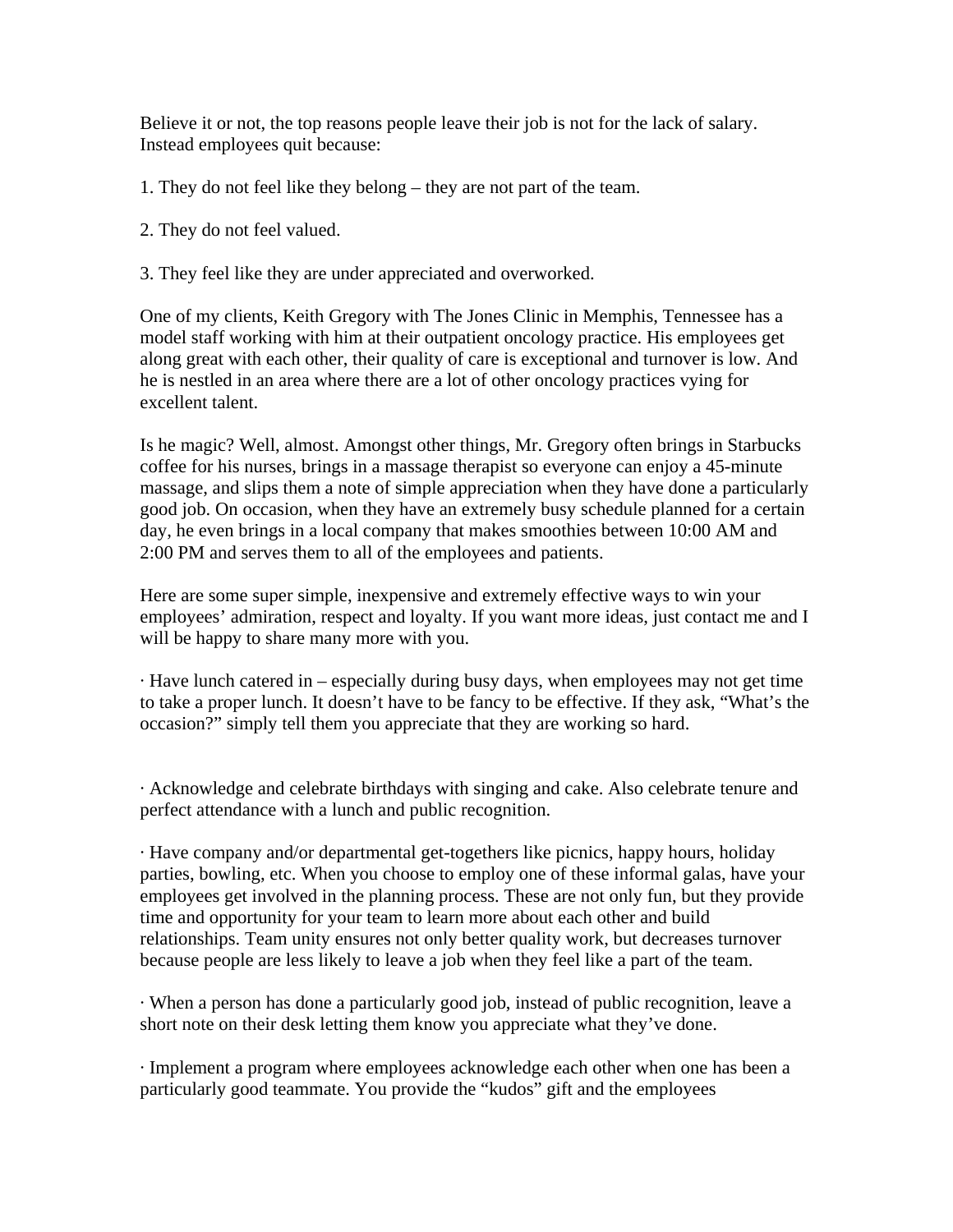Believe it or not, the top reasons people leave their job is not for the lack of salary. Instead employees quit because:

- 1. They do not feel like they belong they are not part of the team.
- 2. They do not feel valued.
- 3. They feel like they are under appreciated and overworked.

One of my clients, Keith Gregory with The Jones Clinic in Memphis, Tennessee has a model staff working with him at their outpatient oncology practice. His employees get along great with each other, their quality of care is exceptional and turnover is low. And he is nestled in an area where there are a lot of other oncology practices vying for excellent talent.

Is he magic? Well, almost. Amongst other things, Mr. Gregory often brings in Starbucks coffee for his nurses, brings in a massage therapist so everyone can enjoy a 45-minute massage, and slips them a note of simple appreciation when they have done a particularly good job. On occasion, when they have an extremely busy schedule planned for a certain day, he even brings in a local company that makes smoothies between 10:00 AM and 2:00 PM and serves them to all of the employees and patients.

Here are some super simple, inexpensive and extremely effective ways to win your employees' admiration, respect and loyalty. If you want more ideas, just contact me and I will be happy to share many more with you.

· Have lunch catered in – especially during busy days, when employees may not get time to take a proper lunch. It doesn't have to be fancy to be effective. If they ask, "What's the occasion?" simply tell them you appreciate that they are working so hard.

· Acknowledge and celebrate birthdays with singing and cake. Also celebrate tenure and perfect attendance with a lunch and public recognition.

· Have company and/or departmental get-togethers like picnics, happy hours, holiday parties, bowling, etc. When you choose to employ one of these informal galas, have your employees get involved in the planning process. These are not only fun, but they provide time and opportunity for your team to learn more about each other and build relationships. Team unity ensures not only better quality work, but decreases turnover because people are less likely to leave a job when they feel like a part of the team.

· When a person has done a particularly good job, instead of public recognition, leave a short note on their desk letting them know you appreciate what they've done.

· Implement a program where employees acknowledge each other when one has been a particularly good teammate. You provide the "kudos" gift and the employees